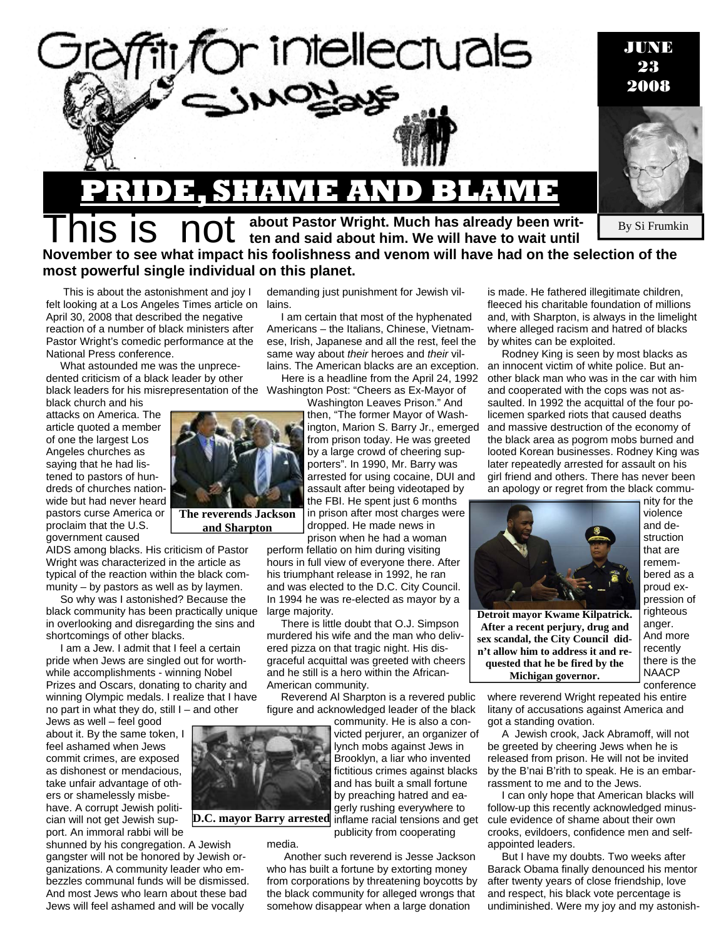

## By Si Frumkin **PRIDE, SHAME AND BLAME S is about Pastor Wright. Much has already been writ-**<br>**S is about Pastor Wright. Much has already been wait until ten and said about him. We will have to wait until November to see what impact his foolishness and venom will have had on the selection of the most powerful single individual on this planet.**

 This is about the astonishment and joy I felt looking at a Los Angeles Times article on lains. April 30, 2008 that described the negative reaction of a number of black ministers after Pastor Wright's comedic performance at the National Press conference.

What astounded me was the unprecedented criticism of a black leader by other black leaders for his misrepresentation of the Washington Post: "Cheers as Ex-Mayor of

black church and his attacks on America. The article quoted a member of one the largest Los Angeles churches as saying that he had listened to pastors of hundreds of churches nationwide but had never heard pastors curse America or proclaim that the U.S. government caused

AIDS among blacks. His criticism of Pastor Wright was characterized in the article as typical of the reaction within the black community – by pastors as well as by laymen.

So why was I astonished? Because the black community has been practically unique in overlooking and disregarding the sins and shortcomings of other blacks.

I am a Jew. I admit that I feel a certain pride when Jews are singled out for worthwhile accomplishments - winning Nobel Prizes and Oscars, donating to charity and winning Olympic medals. I realize that I have no part in what they do, still I – and other

Jews as well – feel good about it. By the same token, I feel ashamed when Jews commit crimes, are exposed as dishonest or mendacious, take unfair advantage of others or shamelessly misbehave. A corrupt Jewish politician will not get Jewish support. An immoral rabbi will be

shunned by his congregation. A Jewish gangster will not be honored by Jewish organizations. A community leader who embezzles communal funds will be dismissed. And most Jews who learn about these bad Jews will feel ashamed and will be vocally

demanding just punishment for Jewish vil-

I am certain that most of the hyphenated Americans – the Italians, Chinese, Vietnamese, Irish, Japanese and all the rest, feel the same way about *their* heroes and *their* villains. The American blacks are an exception.

Here is a headline from the April 24, 1992

Washington Leaves Prison." And then, "The former Mayor of Washington, Marion S. Barry Jr., emerged from prison today. He was greeted by a large crowd of cheering supporters". In 1990, Mr. Barry was arrested for using cocaine, DUI and assault after being videotaped by the FBI. He spent just 6 months in prison after most charges were dropped. He made news in prison when he had a woman

perform fellatio on him during visiting hours in full view of everyone there. After his triumphant release in 1992, he ran and was elected to the D.C. City Council. In 1994 he was re-elected as mayor by a large majority.

There is little doubt that O.J. Simpson murdered his wife and the man who delivered pizza on that tragic night. His disgraceful acquittal was greeted with cheers and he still is a hero within the African-American community.

Reverend Al Sharpton is a revered public figure and acknowledged leader of the black

community. He is also a convicted perjurer, an organizer of lynch mobs against Jews in Brooklyn, a liar who invented fictitious crimes against blacks and has built a small fortune by preaching hatred and eagerly rushing everywhere to inflame racial tensions and get publicity from cooperating

media.

**D.C. mayor Barry arrested** 

 Another such reverend is Jesse Jackson who has built a fortune by extorting money from corporations by threatening boycotts by the black community for alleged wrongs that somehow disappear when a large donation

is made. He fathered illegitimate children, fleeced his charitable foundation of millions and, with Sharpton, is always in the limelight where alleged racism and hatred of blacks by whites can be exploited.

Rodney King is seen by most blacks as an innocent victim of white police. But another black man who was in the car with him and cooperated with the cops was not assaulted. In 1992 the acquittal of the four policemen sparked riots that caused deaths and massive destruction of the economy of the black area as pogrom mobs burned and looted Korean businesses. Rodney King was later repeatedly arrested for assault on his girl friend and others. There has never been an apology or regret from the black commu-



**Michigan governor.** 

violence and destruction that are remembered as a proud expression of righteous anger. And more recently there is the

NAACP

nity for the

conference where reverend Wright repeated his entire litany of accusations against America and got a standing ovation.

A Jewish crook, Jack Abramoff, will not be greeted by cheering Jews when he is released from prison. He will not be invited by the B'nai B'rith to speak. He is an embarrassment to me and to the Jews.

I can only hope that American blacks will follow-up this recently acknowledged minuscule evidence of shame about their own crooks, evildoers, confidence men and selfappointed leaders.

But I have my doubts. Two weeks after Barack Obama finally denounced his mentor after twenty years of close friendship, love and respect, his black vote percentage is undiminished. Were my joy and my astonish-

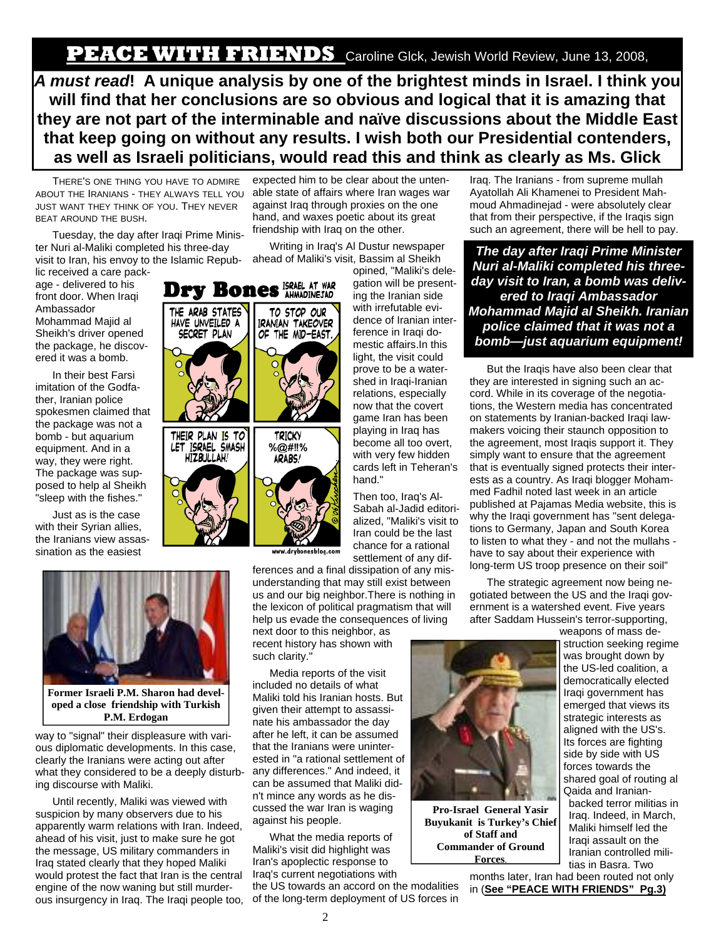*A must read***! A unique analysis by one of the brightest minds in Israel. I think you will find that her conclusions are so obvious and logical that it is amazing that they are not part of the interminable and naïve discussions about the Middle East that keep going on without any results. I wish both our Presidential contenders, as well as Israeli politicians, would read this and think as clearly as Ms. Glick** 

THERE'S ONE THING YOU HAVE TO ADMIRE ABOUT THE IRANIANS - THEY ALWAYS TELL YOU JUST WANT THEY THINK OF YOU. THEY NEVER BEAT AROUND THE BUSH.

Tuesday, the day after Iraqi Prime Minister Nuri al-Maliki completed his three-day visit to Iran, his envoy to the Islamic Repub-

lic received a care package - delivered to his front door. When Iraqi Ambassador Mohammad Majid al Sheikh's driver opened the package, he discovered it was a bomb.

In their best Farsi imitation of the Godfather, Iranian police spokesmen claimed that the package was not a bomb - but aquarium equipment. And in a way, they were right. The package was supposed to help al Sheikh "sleep with the fishes."

Just as is the case with their Syrian allies, the Iranians view assassination as the easiest

expected him to be clear about the untenable state of affairs where Iran wages war against Iraq through proxies on the one hand, and waxes poetic about its great friendship with Iraq on the other.

Writing in Iraq's Al Dustur newspaper ahead of Maliki's visit, Bassim al Sheikh

opined, "Maliki's delegation will be presenting the Iranian side with irrefutable evidence of Iranian interference in Iraqi domestic affairs.In this light, the visit could prove to be a watershed in Iraqi-Iranian relations, especially now that the covert game Iran has been playing in Iraq has become all too overt, with very few hidden cards left in Teheran's hand."

Then too, Iraq's Al-Sabah al-Jadid editorialized, "Maliki's visit to Iran could be the last chance for a rational settlement of any dif-

ferences and a final dissipation of any misunderstanding that may still exist between us and our big neighbor.There is nothing in the lexicon of political pragmatism that will help us evade the consequences of living

next door to this neighbor, as recent history has shown with such clarity."

Media reports of the visit included no details of what Maliki told his Iranian hosts. But given their attempt to assassinate his ambassador the day after he left, it can be assumed that the Iranians were uninterested in "a rational settlement of any differences." And indeed, it can be assumed that Maliki didn't mince any words as he discussed the war Iran is waging against his people.

What the media reports of Maliki's visit did highlight was Iran's apoplectic response to Iraq's current negotiations with

the US towards an accord on the modalities of the long-term deployment of US forces in

Iraq. The Iranians - from supreme mullah Ayatollah Ali Khamenei to President Mahmoud Ahmadinejad - were absolutely clear that from their perspective, if the Iraqis sign such an agreement, there will be hell to pay.

*The day after Iraqi Prime Minister Nuri al-Maliki completed his threeday visit to Iran, a bomb was delivered to Iraqi Ambassador Mohammad Majid al Sheikh. Iranian police claimed that it was not a bomb—just aquarium equipment!* 

But the Iraqis have also been clear that they are interested in signing such an accord. While in its coverage of the negotiations, the Western media has concentrated on statements by Iranian-backed Iraqi lawmakers voicing their staunch opposition to the agreement, most Iraqis support it. They simply want to ensure that the agreement that is eventually signed protects their interests as a country. As Iraqi blogger Mohammed Fadhil noted last week in an article published at Pajamas Media website, this is why the Iraqi government has "sent delegations to Germany, Japan and South Korea to listen to what they - and not the mullahs have to say about their experience with long-term US troop presence on their soil"

The strategic agreement now being negotiated between the US and the Iraqi government is a watershed event. Five years after Saddam Hussein's terror-supporting,

weapons of mass destruction seeking regime was brought down by the US-led coalition, a democratically elected Iraqi government has emerged that views its strategic interests as aligned with the US's. Its forces are fighting side by side with US forces towards the shared goal of routing al Qaida and Iranianbacked terror militias in Iraq. Indeed, in March, Maliki himself led the Iraqi assault on the Iranian controlled militias in Basra. Two

months later, Iran had been routed not only in (**See "PEACE WITH FRIENDS" Pg.3)**

**Former Israeli P.M. Sharon had developed a close friendship with Turkish P.M. Erdogan** 

way to "signal" their displeasure with various diplomatic developments. In this case, clearly the Iranians were acting out after what they considered to be a deeply disturbing discourse with Maliki.

Until recently, Maliki was viewed with suspicion by many observers due to his apparently warm relations with Iran. Indeed, ahead of his visit, just to make sure he got the message, US military commanders in Iraq stated clearly that they hoped Maliki would protest the fact that Iran is the central engine of the now waning but still murderous insurgency in Iraq. The Iraqi people too,





Dry Bones ISRAEL AT WAR



**Pro-Israel General Yasir Buyukanit is Turkey's Chief of Staff and Commander of Ground Forces**.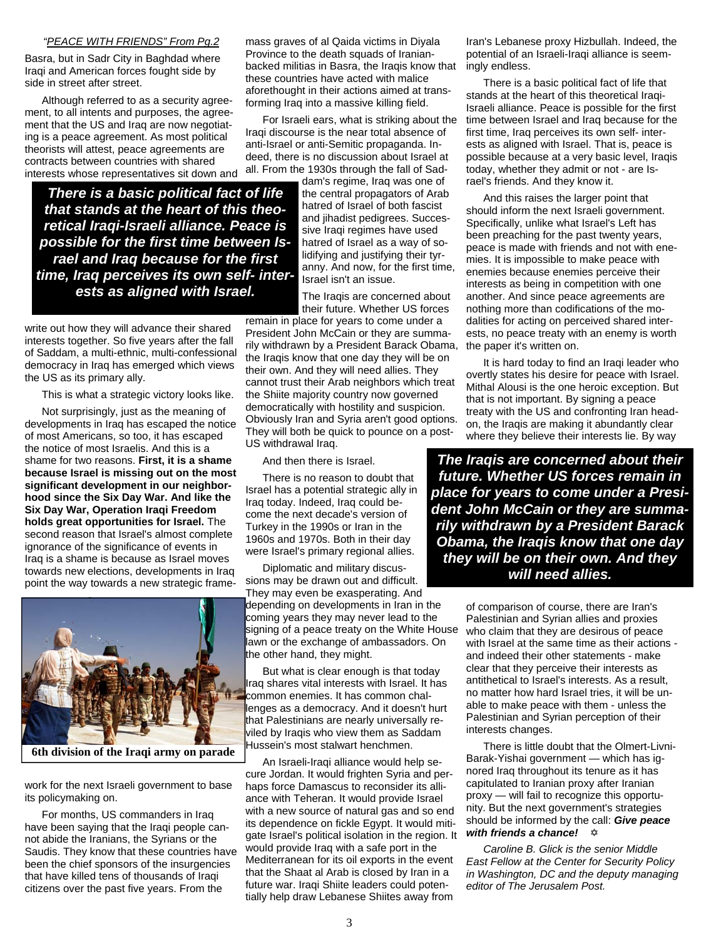## *"PEACE WITH FRIENDS" From Pg.2*

Basra, but in Sadr City in Baghdad where Iraqi and American forces fought side by side in street after street.

Although referred to as a security agreement, to all intents and purposes, the agreement that the US and Iraq are now negotiating is a peace agreement. As most political theorists will attest, peace agreements are contracts between countries with shared interests whose representatives sit down and

*There is a basic political fact of life that stands at the heart of this theoretical Iraqi-Israeli alliance. Peace is possible for the first time between Israel and Iraq because for the first time, Iraq perceives its own self- interests as aligned with Israel.* 

write out how they will advance their shared interests together. So five years after the fall of Saddam, a multi-ethnic, multi-confessional democracy in Iraq has emerged which views the US as its primary ally.

This is what a strategic victory looks like.

Not surprisingly, just as the meaning of developments in Iraq has escaped the notice of most Americans, so too, it has escaped the notice of most Israelis. And this is a shame for two reasons. **First, it is a shame because Israel is missing out on the most significant development in our neighborhood since the Six Day War. And like the Six Day War, Operation Iraqi Freedom holds great opportunities for Israel.** The second reason that Israel's almost complete ignorance of the significance of events in Iraq is a shame is because as Israel moves towards new elections, developments in Iraq point the way towards a new strategic frame-



**6th division of the Iraqi army on parade**

work for the next Israeli government to base its policymaking on.

For months, US commanders in Iraq have been saying that the Iraqi people cannot abide the Iranians, the Syrians or the Saudis. They know that these countries have been the chief sponsors of the insurgencies that have killed tens of thousands of Iraqi citizens over the past five years. From the

mass graves of al Qaida victims in Diyala Province to the death squads of Iranianbacked militias in Basra, the Iraqis know that these countries have acted with malice aforethought in their actions aimed at transforming Iraq into a massive killing field.

For Israeli ears, what is striking about the Iraqi discourse is the near total absence of anti-Israel or anti-Semitic propaganda. Indeed, there is no discussion about Israel at all. From the 1930s through the fall of Sad-

dam's regime, Iraq was one of the central propagators of Arab hatred of Israel of both fascist and jihadist pedigrees. Successive Iraqi regimes have used hatred of Israel as a way of solidifying and justifying their tyranny. And now, for the first time, Israel isn't an issue.

The Iraqis are concerned about their future. Whether US forces

remain in place for years to come under a President John McCain or they are summarily withdrawn by a President Barack Obama, the Iraqis know that one day they will be on their own. And they will need allies. They cannot trust their Arab neighbors which treat the Shiite majority country now governed democratically with hostility and suspicion. Obviously Iran and Syria aren't good options. They will both be quick to pounce on a post-US withdrawal Iraq.

And then there is Israel.

There is no reason to doubt that Israel has a potential strategic ally in Iraq today. Indeed, Iraq could become the next decade's version of Turkey in the 1990s or Iran in the 1960s and 1970s. Both in their day were Israel's primary regional allies.

Diplomatic and military discussions may be drawn out and difficult. They may even be exasperating. And

depending on developments in Iran in the coming years they may never lead to the signing of a peace treaty on the White House lawn or the exchange of ambassadors. On the other hand, they might.

But what is clear enough is that today Iraq shares vital interests with Israel. It has common enemies. It has common challenges as a democracy. And it doesn't hurt that Palestinians are nearly universally reviled by Iraqis who view them as Saddam Hussein's most stalwart henchmen.

An Israeli-Iraqi alliance would help secure Jordan. It would frighten Syria and perhaps force Damascus to reconsider its alliance with Teheran. It would provide Israel with a new source of natural gas and so end its dependence on fickle Egypt. It would mitigate Israel's political isolation in the region. It would provide Iraq with a safe port in the Mediterranean for its oil exports in the event that the Shaat al Arab is closed by Iran in a future war. Iraqi Shiite leaders could potentially help draw Lebanese Shiites away from

Iran's Lebanese proxy Hizbullah. Indeed, the potential of an Israeli-Iraqi alliance is seemingly endless.

There is a basic political fact of life that stands at the heart of this theoretical Iraqi-Israeli alliance. Peace is possible for the first time between Israel and Iraq because for the first time, Iraq perceives its own self- interests as aligned with Israel. That is, peace is possible because at a very basic level, Iraqis today, whether they admit or not - are Israel's friends. And they know it.

And this raises the larger point that should inform the next Israeli government. Specifically, unlike what Israel's Left has been preaching for the past twenty years, peace is made with friends and not with enemies. It is impossible to make peace with enemies because enemies perceive their interests as being in competition with one another. And since peace agreements are nothing more than codifications of the modalities for acting on perceived shared interests, no peace treaty with an enemy is worth the paper it's written on.

It is hard today to find an Iraqi leader who overtly states his desire for peace with Israel. Mithal Alousi is the one heroic exception. But that is not important. By signing a peace treaty with the US and confronting Iran headon, the Iraqis are making it abundantly clear where they believe their interests lie. By way

*The Iraqis are concerned about their future. Whether US forces remain in place for years to come under a President John McCain or they are summarily withdrawn by a President Barack Obama, the Iraqis know that one day they will be on their own. And they will need allies.* 

> of comparison of course, there are Iran's Palestinian and Syrian allies and proxies who claim that they are desirous of peace with Israel at the same time as their actions and indeed their other statements - make clear that they perceive their interests as antithetical to Israel's interests. As a result, no matter how hard Israel tries, it will be unable to make peace with them - unless the Palestinian and Syrian perception of their interests changes.

There is little doubt that the Olmert-Livni-Barak-Yishai government — which has ignored Iraq throughout its tenure as it has capitulated to Iranian proxy after Iranian proxy — will fail to recognize this opportunity. But the next government's strategies should be informed by the call: *Give peace with friends a chance!*  $\quad$ 

*Caroline B. Glick is the senior Middle East Fellow at the Center for Security Policy in Washington, DC and the deputy managing editor of The Jerusalem Post.*